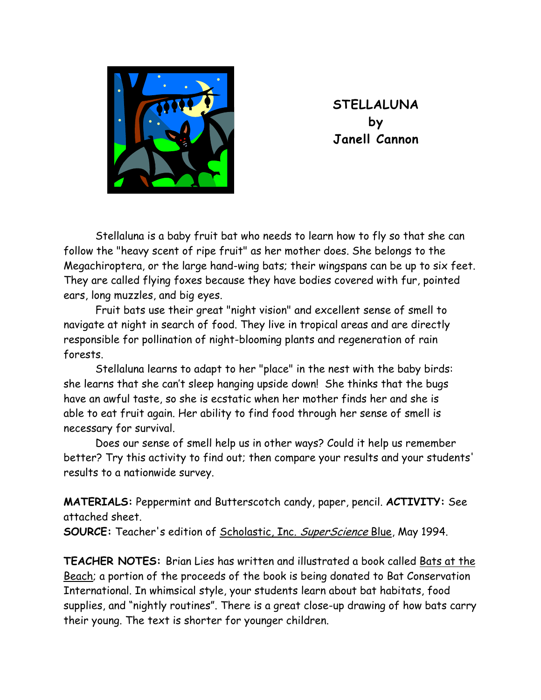

**STELLALUNA by Janell Cannon** 

 Stellaluna is a baby fruit bat who needs to learn how to fly so that she can follow the "heavy scent of ripe fruit" as her mother does. She belongs to the Megachiroptera, or the large hand-wing bats; their wingspans can be up to six feet. They are called flying foxes because they have bodies covered with fur, pointed ears, long muzzles, and big eyes.

 Fruit bats use their great "night vision" and excellent sense of smell to navigate at night in search of food. They live in tropical areas and are directly responsible for pollination of night-blooming plants and regeneration of rain forests.

 Stellaluna learns to adapt to her "place" in the nest with the baby birds: she learns that she can't sleep hanging upside down! She thinks that the bugs have an awful taste, so she is ecstatic when her mother finds her and she is able to eat fruit again. Her ability to find food through her sense of smell is necessary for survival.

 Does our sense of smell help us in other ways? Could it help us remember better? Try this activity to find out; then compare your results and your students' results to a nationwide survey.

**MATERIALS:** Peppermint and Butterscotch candy, paper, pencil. **ACTIVITY:** See attached sheet.

**SOURCE:** Teacher's edition of Scholastic, Inc. SuperScience Blue, May 1994.

**TEACHER NOTES:** Brian Lies has written and illustrated a book called Bats at the Beach; a portion of the proceeds of the book is being donated to Bat Conservation International. In whimsical style, your students learn about bat habitats, food supplies, and "nightly routines". There is a great close-up drawing of how bats carry their young. The text is shorter for younger children.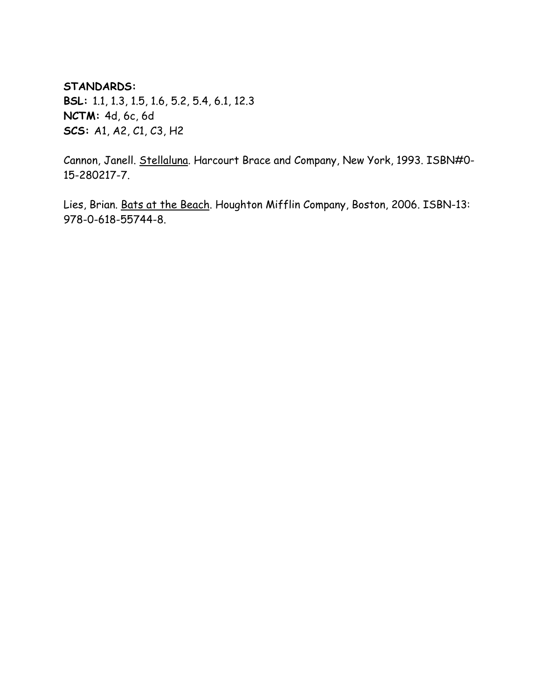## **STANDARDS:**

**BSL:** 1.1, 1.3, 1.5, 1.6, 5.2, 5.4, 6.1, 12.3 **NCTM:** 4d, 6c, 6d **SCS:** A1, A2, C1, C3, H2

Cannon, Janell. Stellaluna. Harcourt Brace and Company, New York, 1993. ISBN#0- 15-280217-7.

Lies, Brian. Bats at the Beach. Houghton Mifflin Company, Boston, 2006. ISBN-13: 978-0-618-55744-8.